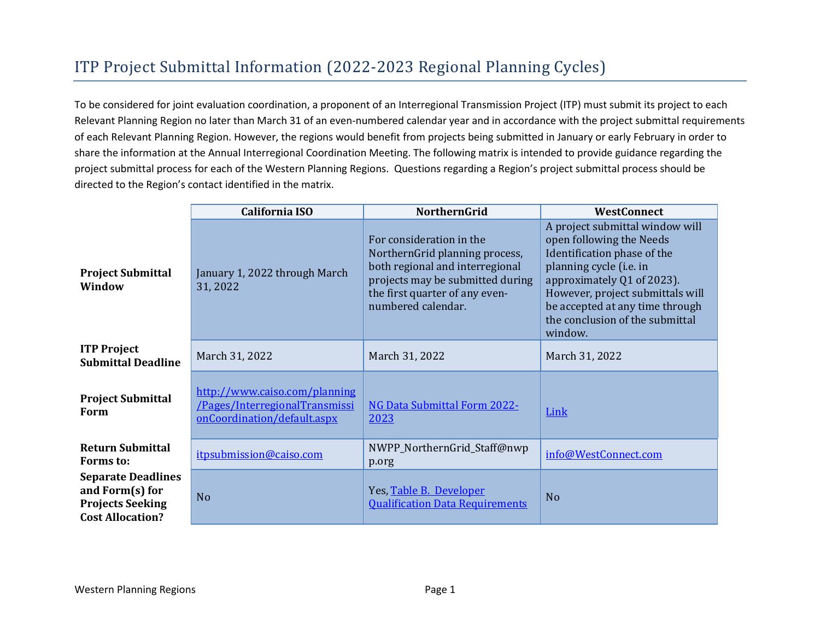## ITP Project Submittal Information (2022-2023 Regional Planning Cycles)

To be considered for joint evaluation coordination, a proponent of an Interregional Transmission Project (ITP) must submit its project to each Relevant Planning Region no later than March 31 of an even-numbered calendar year and in accordance with the project submittal requirements of each Relevant Planning Region. However, the regions would benefit from projects being submitted in January or early February in order to share the information at the Annual Interregional Coordination Meeting. The following matrix is intended to provide guidance regarding the project submittal process for each of the Western Planning Regions. Questions regarding a Region's project submittal process should be directed to the Region's contact identified in the matrix.

|                                                                                                       | <b>California ISO</b>                                                                          | <b>NorthernGrid</b>                                                                                                                                                                       | <b>WestConnect</b>                                                                                                                                                                                                                                                       |
|-------------------------------------------------------------------------------------------------------|------------------------------------------------------------------------------------------------|-------------------------------------------------------------------------------------------------------------------------------------------------------------------------------------------|--------------------------------------------------------------------------------------------------------------------------------------------------------------------------------------------------------------------------------------------------------------------------|
| <b>Project Submittal</b><br>Window                                                                    | January 1, 2022 through March<br>31, 2022                                                      | For consideration in the<br>NorthernGrid planning process,<br>both regional and interregional<br>projects may be submitted during<br>the first quarter of any even-<br>numbered calendar. | A project submittal window will<br>open following the Needs<br>Identification phase of the<br>planning cycle (i.e. in<br>approximately Q1 of 2023).<br>However, project submittals will<br>be accepted at any time through<br>the conclusion of the submittal<br>window. |
| <b>ITP Project</b><br><b>Submittal Deadline</b>                                                       | March 31, 2022                                                                                 | March 31, 2022                                                                                                                                                                            | March 31, 2022                                                                                                                                                                                                                                                           |
| <b>Project Submittal</b><br>Form                                                                      | http://www.caiso.com/planning<br>/Pages/InterregionalTransmissi<br>onCoordination/default.aspx | <b>NG Data Submittal Form 2022-</b><br>2023                                                                                                                                               | Link                                                                                                                                                                                                                                                                     |
| <b>Return Submittal</b><br><b>Forms</b> to:                                                           | itpsubmission@caiso.com                                                                        | NWPP_NorthernGrid_Staff@nwp<br>p.org                                                                                                                                                      | info@WestConnect.com                                                                                                                                                                                                                                                     |
| <b>Separate Deadlines</b><br>and Form $(s)$ for<br><b>Projects Seeking</b><br><b>Cost Allocation?</b> | N <sub>o</sub>                                                                                 | Yes, Table B. Developer<br><b>Qualification Data Requirements</b>                                                                                                                         | N <sub>o</sub>                                                                                                                                                                                                                                                           |